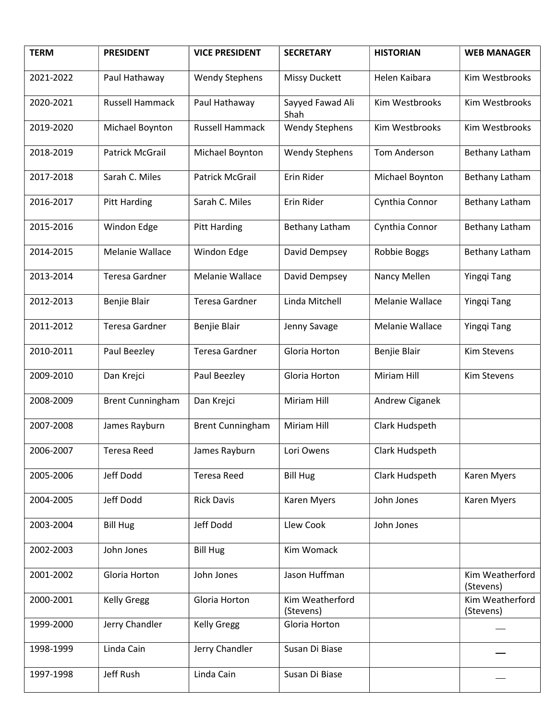| <b>TERM</b> | <b>PRESIDENT</b>        | <b>VICE PRESIDENT</b>   | <b>SECRETARY</b>             | <b>HISTORIAN</b> | <b>WEB MANAGER</b>           |
|-------------|-------------------------|-------------------------|------------------------------|------------------|------------------------------|
| 2021-2022   | Paul Hathaway           | <b>Wendy Stephens</b>   | <b>Missy Duckett</b>         | Helen Kaibara    | Kim Westbrooks               |
| 2020-2021   | <b>Russell Hammack</b>  | Paul Hathaway           | Sayyed Fawad Ali<br>Shah     | Kim Westbrooks   | Kim Westbrooks               |
| 2019-2020   | Michael Boynton         | Russell Hammack         | <b>Wendy Stephens</b>        | Kim Westbrooks   | Kim Westbrooks               |
| 2018-2019   | <b>Patrick McGrail</b>  | Michael Boynton         | <b>Wendy Stephens</b>        | Tom Anderson     | Bethany Latham               |
| 2017-2018   | Sarah C. Miles          | <b>Patrick McGrail</b>  | Erin Rider                   | Michael Boynton  | Bethany Latham               |
| 2016-2017   | <b>Pitt Harding</b>     | Sarah C. Miles          | Erin Rider                   | Cynthia Connor   | Bethany Latham               |
| 2015-2016   | Windon Edge             | <b>Pitt Harding</b>     | Bethany Latham               | Cynthia Connor   | Bethany Latham               |
| 2014-2015   | Melanie Wallace         | Windon Edge             | David Dempsey                | Robbie Boggs     | Bethany Latham               |
| 2013-2014   | Teresa Gardner          | Melanie Wallace         | David Dempsey                | Nancy Mellen     | Yingqi Tang                  |
| 2012-2013   | Benjie Blair            | <b>Teresa Gardner</b>   | Linda Mitchell               | Melanie Wallace  | Yingqi Tang                  |
| 2011-2012   | Teresa Gardner          | Benjie Blair            | Jenny Savage                 | Melanie Wallace  | Yingqi Tang                  |
| 2010-2011   | Paul Beezley            | <b>Teresa Gardner</b>   | Gloria Horton                | Benjie Blair     | Kim Stevens                  |
| 2009-2010   | Dan Krejci              | Paul Beezley            | Gloria Horton                | Miriam Hill      | <b>Kim Stevens</b>           |
| 2008-2009   | <b>Brent Cunningham</b> | Dan Krejci              | Miriam Hill                  | Andrew Ciganek   |                              |
| 2007-2008   | James Rayburn           | <b>Brent Cunningham</b> | Miriam Hill                  | Clark Hudspeth   |                              |
| 2006-2007   | Teresa Reed             | James Rayburn           | Lori Owens                   | Clark Hudspeth   |                              |
| 2005-2006   | Jeff Dodd               | <b>Teresa Reed</b>      | <b>Bill Hug</b>              | Clark Hudspeth   | Karen Myers                  |
| 2004-2005   | Jeff Dodd               | <b>Rick Davis</b>       | <b>Karen Myers</b>           | John Jones       | Karen Myers                  |
| 2003-2004   | <b>Bill Hug</b>         | Jeff Dodd               | Llew Cook                    | John Jones       |                              |
| 2002-2003   | John Jones              | <b>Bill Hug</b>         | Kim Womack                   |                  |                              |
| 2001-2002   | Gloria Horton           | John Jones              | Jason Huffman                |                  | Kim Weatherford<br>(Stevens) |
| 2000-2001   | <b>Kelly Gregg</b>      | Gloria Horton           | Kim Weatherford<br>(Stevens) |                  | Kim Weatherford<br>(Stevens) |
| 1999-2000   | Jerry Chandler          | <b>Kelly Gregg</b>      | Gloria Horton                |                  |                              |
| 1998-1999   | Linda Cain              | Jerry Chandler          | Susan Di Biase               |                  |                              |
| 1997-1998   | Jeff Rush               | Linda Cain              | Susan Di Biase               |                  |                              |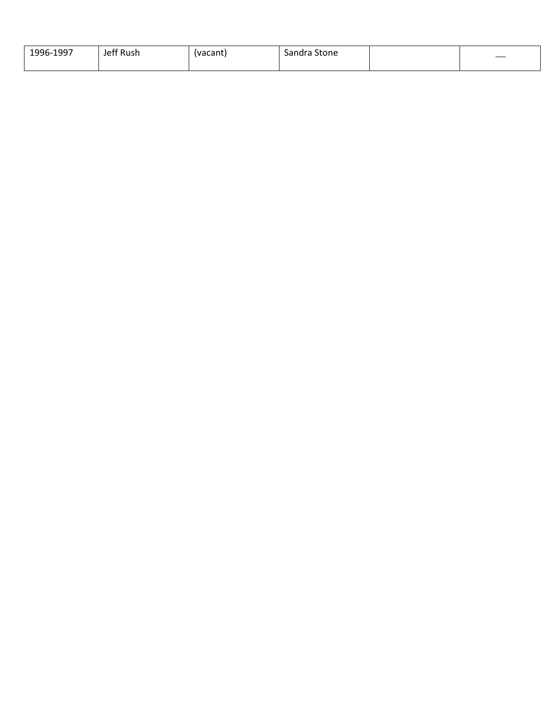| 1996-1997<br><b></b><br>--- | $\sim$<br>: Rush<br>Jeff | (vacant | $\overline{\phantom{0}}$<br>Sandra '<br>Stone |  |
|-----------------------------|--------------------------|---------|-----------------------------------------------|--|
|                             |                          |         |                                               |  |